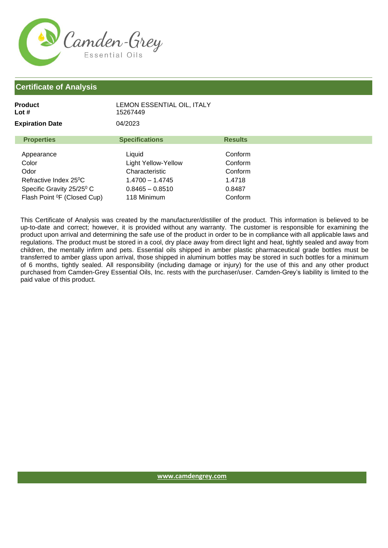

| Product<br>Lot #                                                                                           | LEMON ESSENTIAL OIL, ITALY<br>15267449                                                    |                                                   |
|------------------------------------------------------------------------------------------------------------|-------------------------------------------------------------------------------------------|---------------------------------------------------|
| <b>Expiration Date</b>                                                                                     | 04/2023                                                                                   |                                                   |
| <b>Properties</b>                                                                                          | <b>Specifications</b>                                                                     | <b>Results</b>                                    |
| Appearance<br>Color<br>Odor<br>Refractive Index 25 <sup>o</sup> C<br>Specific Gravity 25/25 <sup>0</sup> C | Liquid<br>Light Yellow-Yellow<br>Characteristic<br>$1.4700 - 1.4745$<br>$0.8465 - 0.8510$ | Conform<br>Conform<br>Conform<br>1.4718<br>0.8487 |
| Flash Point <sup>o</sup> F (Closed Cup)                                                                    | 118 Minimum                                                                               | Conform                                           |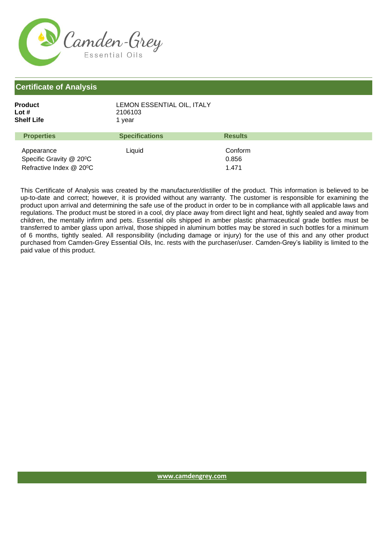

| Product    | LEMON ESSENTIAL OIL. ITALY |
|------------|----------------------------|
| Lot #      | 2106103                    |
| Shelf Life | 1 vear                     |
|            |                            |

| <b>Properties</b>                    | <b>Specifications</b> | <b>Results</b> |  |
|--------------------------------------|-----------------------|----------------|--|
| Appearance                           | Liauid                | Conform        |  |
| Specific Gravity @ 20 <sup>o</sup> C |                       | 0.856          |  |
| Refractive Index @ 20°C              |                       | 1471           |  |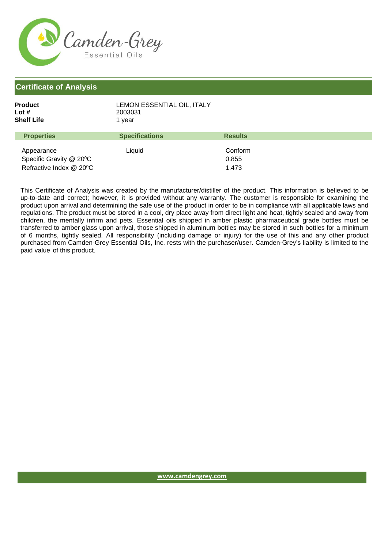

| Product<br>Lot #<br>Shelf Life | LEMON ESSENTIAL OIL, ITALY<br>2003031<br>1 vear |                |
|--------------------------------|-------------------------------------------------|----------------|
| <b>Properties</b>              | <b>Specifications</b>                           | <b>Results</b> |

| $\cdots$                               | ------------ | .       |
|----------------------------------------|--------------|---------|
|                                        |              |         |
| Appearance                             | Liauid       | Conform |
| Specific Gravity @ 20 <sup>o</sup> C   |              | 0.855   |
| Refractive Index $@$ 20 <sup>o</sup> C |              | 1.473   |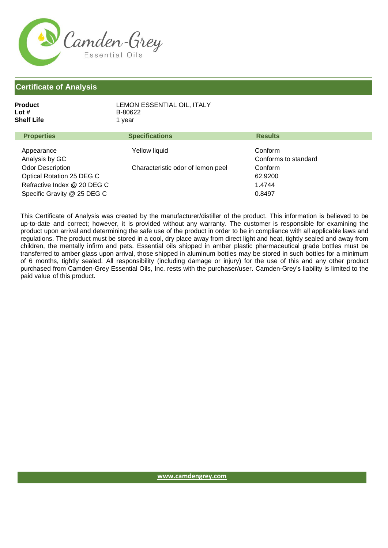

| Product           | LEMON ESSENTIAL OIL, ITALY |                |
|-------------------|----------------------------|----------------|
| Lot #             | B-80622                    |                |
| Shelf Life        | 1 vear                     |                |
| <b>Properties</b> | <b>Specifications</b>      | <b>Results</b> |

| Appearance                  | Yellow liquid                     | Conform              |  |
|-----------------------------|-----------------------------------|----------------------|--|
| Analysis by GC              |                                   | Conforms to standard |  |
| <b>Odor Description</b>     | Characteristic odor of lemon peel | Conform              |  |
| Optical Rotation 25 DEG C   |                                   | 62.9200              |  |
| Refractive Index @ 20 DEG C |                                   | 1.4744               |  |
| Specific Gravity @ 25 DEG C |                                   | 0.8497               |  |
|                             |                                   |                      |  |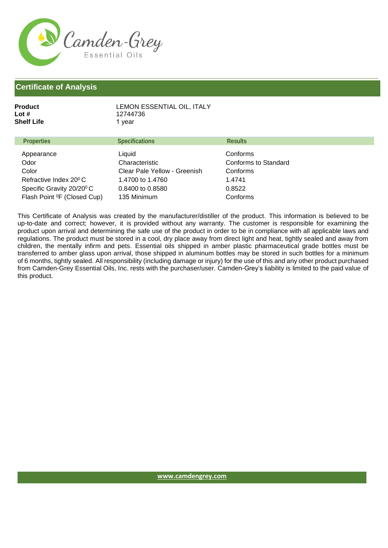

| LEMON ESSENTIAL OIL, ITALY<br>12744736<br>1 vear |                |
|--------------------------------------------------|----------------|
| <b>Specifications</b>                            | <b>Results</b> |
|                                                  |                |

| $1.1$ upcitica                          | <b>UNCULIVALIUIS</b>         | постояны             |
|-----------------------------------------|------------------------------|----------------------|
| Appearance                              | Liquid                       | Conforms             |
| Odor                                    | Characteristic               | Conforms to Standard |
| Color                                   | Clear Pale Yellow - Greenish | Conforms             |
| Refractive Index 20 <sup>°</sup> C      | 1.4700 to 1.4760             | 1.4741               |
| Specific Gravity 20/20 <sup>°</sup> C   | 0.8400 to 0.8580             | 0.8522               |
| Flash Point <sup>o</sup> F (Closed Cup) | 135 Minimum                  | Conforms             |
|                                         |                              |                      |